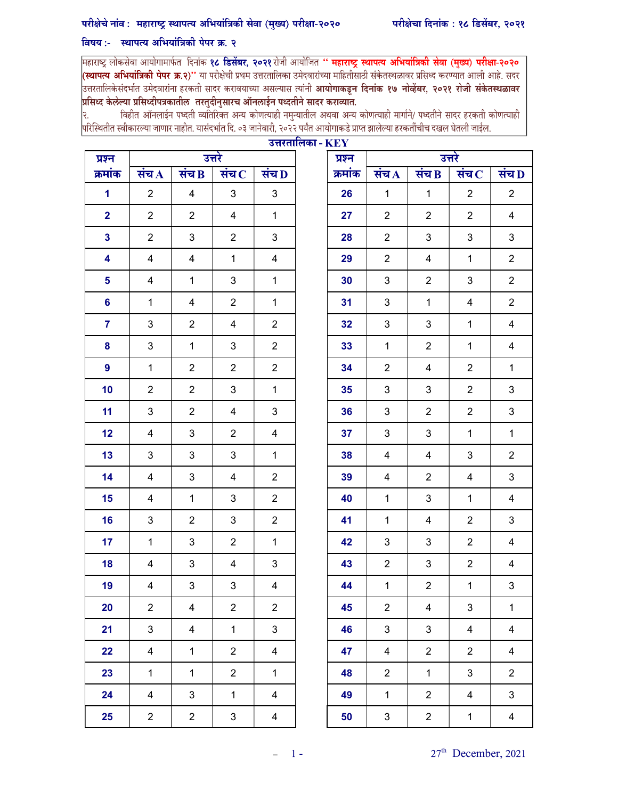## परीक्षेचे नांव: महाराष्ट्र स्थापत्य अभियांत्रिकी सेवा (मुख्य) परीक्षा-२०२०

## विषय:- स्थापत्य अभियांत्रिकी पेपर क्र. २

महाराष्ट्र लोकसेवा आयोगामार्फत दिनांक **१८ डिसेंबर, २०२१** रोजी आयोजित " **महाराष्ट्र स्थापत्य अभियांत्रिकी सेवा (मुख्य) परीक्षा-२०२० (स्थापत्य अभियांत्रिकी पेपर क्र.२)''** या परीक्षेची प्रथम उत्तरतालिका उमेदवारांच्या माहितीसाठी संकेतस्थळावर प्रसिध्द करण्यात आली आहे. सदर<br>उत्तरतालिकेसंदर्भात उमेदवारांना हरकती सादर करावयाच्या असल्यास त्यांनी **आयोगाकडून दि** |<br>|प्रसिध्द केलेल्या प्रसिध्दीपत्रकातील तरतुदीनुसारच ऑनलाईन पध्दतीने सादर कराव्यात.

विहीत ऑनलाईन पध्दती व्यतिरिक्त अन्य कोणत्याही नमुन्यातील अथवा अन्य कोणत्याही मार्गाने/ पध्दतीने सादर हरकती कोणत्याही २. |<br>|परिस्थितीत स्वीकारल्या जाणार नाहीत. यासंदर्भात दि. ०३ जानेवारी, २०२२ पर्यंत आयोगाकडे प्राप्त झालेल्या हरकतींचीच दखल घेतली जाईल.

| प्रश्न                  |                |                           | उत्तरे                    |                           | प्रश्न  | उत्तरे             |                         |                         |                         |
|-------------------------|----------------|---------------------------|---------------------------|---------------------------|---------|--------------------|-------------------------|-------------------------|-------------------------|
| क्रमांक                 | संच $\bf{A}$   | संच $\overline{B}$        | संच $\, {\bf c}$          | संच D                     | क्रमांक | संच $\overline{A}$ | संच $\overline{B}$      | संच $\, {\bf c}$        | संच L                   |
| $\mathbf 1$             | $\overline{2}$ | $\overline{\mathbf{4}}$   | $\mathbf{3}$              | $\mathbf{3}$              | 26      | $\mathbf{1}$       | $\mathbf{1}$            | $\overline{2}$          | $\overline{2}$          |
| $\mathbf{2}$            | $\overline{2}$ | $\overline{2}$            | $\overline{4}$            | $\mathbf{1}$              | 27      | $\overline{2}$     | $\overline{2}$          | $\overline{2}$          | $\overline{4}$          |
| $\mathbf{3}$            | $\overline{2}$ | $\mathsf 3$               | $\overline{2}$            | $\ensuremath{\mathsf{3}}$ | 28      | $\overline{2}$     | 3                       | $\mathfrak{S}$          | $\mathfrak{S}$          |
| $\overline{\mathbf{4}}$ | 4              | $\overline{\mathbf{4}}$   | $\mathbf{1}$              | $\overline{\mathbf{4}}$   | 29      | $\overline{2}$     | $\overline{4}$          | $\mathbf{1}$            | $\overline{2}$          |
| 5 <sup>5</sup>          | $\overline{4}$ | $\mathbf{1}$              | 3                         | $\mathbf{1}$              | 30      | $\mathbf{3}$       | $\overline{2}$          | $\mathsf 3$             | $\overline{2}$          |
| $6\phantom{a}$          | $\mathbf{1}$   | $\overline{\mathbf{4}}$   | $\overline{2}$            | $\mathbf{1}$              | 31      | $\sqrt{3}$         | $\mathbf{1}$            | $\overline{\mathbf{4}}$ | $\overline{2}$          |
| $\overline{7}$          | $\mathbf{3}$   | $\overline{2}$            | 4                         | $\overline{2}$            | 32      | $\mathbf{3}$       | 3                       | $\mathbf{1}$            | $\overline{\mathbf{4}}$ |
| 8                       | $\mathbf{3}$   | $\mathbf{1}$              | $\mathbf{3}$              | $\overline{2}$            | 33      | $\mathbf{1}$       | $\overline{2}$          | $\mathbf{1}$            | $\overline{\mathbf{4}}$ |
| 9                       | $\mathbf{1}$   | $\overline{2}$            | $\overline{2}$            | $\overline{2}$            | 34      | $\overline{2}$     | $\overline{\mathbf{4}}$ | $\overline{2}$          | $\mathbf 1$             |
| 10                      | $\overline{2}$ | $\overline{2}$            | 3                         | $\mathbf{1}$              | 35      | $\mathbf{3}$       | 3                       | $\overline{2}$          | $\mathbf{3}$            |
| 11                      | $\mathbf{3}$   | $\overline{2}$            | $\overline{\mathbf{4}}$   | $\ensuremath{\mathsf{3}}$ | 36      | $\sqrt{3}$         | $\overline{a}$          | $\overline{2}$          | $\mathfrak{S}$          |
| 12                      | 4              | $\ensuremath{\mathsf{3}}$ | $\overline{2}$            | $\overline{\mathbf{4}}$   | 37      | $\mathbf{3}$       | 3                       | $\mathbf{1}$            | $\mathbf{1}$            |
| 13                      | $\mathbf{3}$   | $\ensuremath{\mathsf{3}}$ | $\mathbf{3}$              | $\mathbf{1}$              | 38      | 4                  | $\overline{4}$          | $\mathbf{3}$            | $\overline{2}$          |
| 14                      | 4              | $\ensuremath{\mathsf{3}}$ | 4                         | $\overline{2}$            | 39      | 4                  | $\overline{2}$          | 4                       | $\mathbf{3}$            |
| 15                      | $\overline{4}$ | $\mathbf{1}$              | 3                         | $\overline{2}$            | 40      | $\mathbf{1}$       | 3                       | $\mathbf{1}$            | $\overline{4}$          |
| 16                      | $\mathbf{3}$   | $\overline{2}$            | 3                         | $\overline{2}$            | 41      | $\mathbf{1}$       | $\overline{4}$          | $\overline{2}$          | $\mathfrak{S}$          |
| 17                      | $\mathbf{1}$   | $\ensuremath{\mathsf{3}}$ | $\overline{2}$            | $\mathbf{1}$              | 42      | $\mathbf{3}$       | 3                       | $\overline{2}$          | $\overline{\mathbf{4}}$ |
| 18                      | 4              | $\ensuremath{\mathsf{3}}$ | 4                         | $\ensuremath{\mathsf{3}}$ | 43      | $\overline{2}$     | 3                       | $\overline{2}$          | $\overline{\mathbf{4}}$ |
| 19                      | 4              | $\ensuremath{\mathsf{3}}$ | 3                         | 4                         | 44      | $\mathbf{1}$       | $\overline{2}$          | $\mathbf{1}$            | $\mathfrak{S}$          |
| 20                      | $\overline{2}$ | $\overline{\mathbf{4}}$   | $\boldsymbol{2}$          | $\overline{2}$            | 45      | $\overline{c}$     | 4                       | 3                       | $\mathbf{1}$            |
| 21                      | 3              | 4                         | $\mathbf{1}$              | $\mathfrak{S}$            | 46      | $\mathfrak{B}$     | $\mathfrak{S}$          | $\overline{4}$          | $\overline{\mathbf{4}}$ |
| 22                      | $\overline{4}$ | $\mathbf{1}$              | $\overline{2}$            | $\overline{4}$            | 47      | $\overline{4}$     | $\overline{2}$          | $\overline{2}$          | $\overline{\mathbf{4}}$ |
| 23                      | $\mathbf{1}$   | $\mathbf{1}$              | $\overline{2}$            | $\mathbf{1}$              | 48      | $\overline{2}$     | $\mathbf{1}$            | 3                       | $\overline{2}$          |
| 24                      | $\overline{4}$ | $\ensuremath{\mathsf{3}}$ | $\mathbf 1$               | 4                         | 49      | $\mathbf 1$        | $\boldsymbol{2}$        | $\overline{\mathbf{4}}$ | 3                       |
| 25                      | $\overline{2}$ | $\overline{2}$            | $\ensuremath{\mathsf{3}}$ | $\overline{\mathbf{4}}$   | 50      | $\mathbf{3}$       | $\boldsymbol{2}$        | $\mathbf{1}$            | $\overline{4}$          |

| उत्तरतालिका - $\mathbf{KEY}$ |  |                  |                         |                         |                         |                             |  |  |  |
|------------------------------|--|------------------|-------------------------|-------------------------|-------------------------|-----------------------------|--|--|--|
|                              |  | उत्तरे<br>प्रश्न |                         |                         |                         |                             |  |  |  |
| .<br>रंच D                   |  | क्रमांक          | संच $\bf A$             | संच $\bf B$             | संच $\bf C$             | संच $\overline{\mathbf{p}}$ |  |  |  |
| $\mathbf{3}$                 |  | 26               | $\mathbf 1$             | $\mathbf 1$             | $\boldsymbol{2}$        | $\overline{c}$              |  |  |  |
| $\mathbf 1$                  |  | 27               | $\overline{c}$          | $\overline{\mathbf{c}}$ | $\overline{c}$          | $\overline{\mathbf{4}}$     |  |  |  |
| 3                            |  | 28               | $\boldsymbol{2}$        | 3                       | 3                       | 3                           |  |  |  |
| $\overline{\mathbf{4}}$      |  | 29               | $\boldsymbol{2}$        | $\overline{\mathbf{4}}$ | $\mathbf{1}$            | $\overline{2}$              |  |  |  |
| $\mathbf 1$                  |  | 30               | $\mathfrak{S}$          | $\overline{c}$          | 3                       | $\overline{2}$              |  |  |  |
| $\mathbf 1$                  |  | 31               | 3                       | $\mathbf 1$             | $\overline{\mathbf{4}}$ | $\boldsymbol{2}$            |  |  |  |
| $\overline{\mathbf{c}}$      |  | 32               | 3                       | 3                       | $\mathbf 1$             | $\overline{\mathbf{4}}$     |  |  |  |
| $\overline{c}$               |  | 33               | $\mathbf 1$             | $\overline{2}$          | $\mathbf 1$             | $\overline{\mathbf{4}}$     |  |  |  |
| $\overline{\mathbf{c}}$      |  | 34               | $\boldsymbol{2}$        | $\overline{\mathbf{4}}$ | $\overline{2}$          | $\mathbf 1$                 |  |  |  |
| $\overline{1}$               |  | 35               | $\mathfrak{S}$          | 3                       | $\overline{2}$          | $\mathbf{3}$                |  |  |  |
| 3                            |  | 36               | 3                       | $\overline{c}$          | $\overline{c}$          | 3                           |  |  |  |
| $\overline{\mathbf{4}}$      |  | 37               | 3                       | 3                       | $\mathbf 1$             | $\mathbf 1$                 |  |  |  |
| $\mathbf 1$                  |  | 38               | $\overline{\mathbf{4}}$ | $\overline{\mathbf{4}}$ | 3                       | $\boldsymbol{2}$            |  |  |  |
| $\overline{c}$               |  | 39               | $\overline{\mathbf{4}}$ | $\overline{2}$          | $\overline{\mathbf{4}}$ | $\mathbf{3}$                |  |  |  |
| $\mathbf{2}$                 |  | 40               | $\mathbf 1$             | 3                       | $\mathbf{1}$            | $\overline{\mathbf{4}}$     |  |  |  |
| $\mathbf{2}$                 |  | 41               | $\mathbf 1$             | $\overline{\mathbf{4}}$ | $\overline{c}$          | $\mathbf{3}$                |  |  |  |
| $\mathbf 1$                  |  | 42               | 3                       | 3                       | $\overline{c}$          | $\overline{\mathbf{4}}$     |  |  |  |
| 3                            |  | 43               | $\boldsymbol{2}$        | 3                       | $\overline{\mathbf{c}}$ | $\overline{\mathbf{4}}$     |  |  |  |
| $\overline{4}$               |  | 44               | $\mathbf{1}$            | $\overline{c}$          | $\mathbf{1}$            | 3                           |  |  |  |
| $\overline{\mathbf{c}}$      |  | 45               | $\overline{\mathbf{c}}$ | $\overline{\mathbf{4}}$ | 3                       | 1                           |  |  |  |
| 3                            |  | 46               | 3                       | 3                       | 4                       | $\overline{\mathbf{4}}$     |  |  |  |
| $\overline{\mathbf{4}}$      |  | 47               | $\overline{\mathbf{4}}$ | $\overline{c}$          | $\overline{c}$          | $\overline{\mathbf{4}}$     |  |  |  |
| $\mathbf 1$                  |  | 48               | $\overline{c}$          | $\overline{1}$          | 3                       | $\overline{c}$              |  |  |  |
| $\overline{\mathbf{4}}$      |  | 49               | $\mathbf{1}$            | $\overline{2}$          | $\overline{\mathbf{4}}$ | 3                           |  |  |  |
| 4                            |  | 50               | 3                       | $\overline{c}$          | $\mathbf 1$             | $\overline{\mathbf{4}}$     |  |  |  |